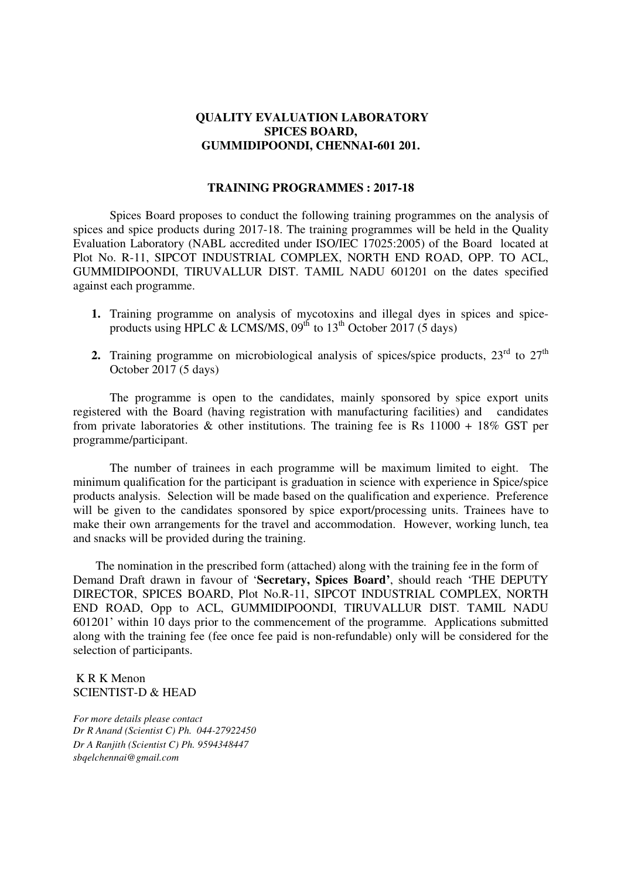#### **QUALITY EVALUATION LABORATORY SPICES BOARD, GUMMIDIPOONDI, CHENNAI-601 201.**

#### **TRAINING PROGRAMMES : 2017-18**

Spices Board proposes to conduct the following training programmes on the analysis of spices and spice products during 2017-18. The training programmes will be held in the Quality Evaluation Laboratory (NABL accredited under ISO/IEC 17025:2005) of the Board located at Plot No. R-11, SIPCOT INDUSTRIAL COMPLEX, NORTH END ROAD, OPP. TO ACL, GUMMIDIPOONDI, TIRUVALLUR DIST. TAMIL NADU 601201 on the dates specified against each programme.

- **1.** Training programme on analysis of mycotoxins and illegal dyes in spices and spiceproducts using HPLC & LCMS/MS,  $09<sup>th</sup>$  to  $13<sup>th</sup>$  October 2017 (5 days)
- **2.** Training programme on microbiological analysis of spices/spice products, 23<sup>rd</sup> to 27<sup>th</sup> October 2017 (5 days)

 The programme is open to the candidates, mainly sponsored by spice export units registered with the Board (having registration with manufacturing facilities) and candidates from private laboratories  $\&$  other institutions. The training fee is Rs 11000 + 18% GST per programme/participant.

The number of trainees in each programme will be maximum limited to eight. The minimum qualification for the participant is graduation in science with experience in Spice/spice products analysis. Selection will be made based on the qualification and experience. Preference will be given to the candidates sponsored by spice export/processing units. Trainees have to make their own arrangements for the travel and accommodation. However, working lunch, tea and snacks will be provided during the training.

 The nomination in the prescribed form (attached) along with the training fee in the form of Demand Draft drawn in favour of '**Secretary, Spices Board'**, should reach 'THE DEPUTY DIRECTOR, SPICES BOARD, Plot No.R-11, SIPCOT INDUSTRIAL COMPLEX, NORTH END ROAD, Opp to ACL, GUMMIDIPOONDI, TIRUVALLUR DIST. TAMIL NADU 601201' within 10 days prior to the commencement of the programme. Applications submitted along with the training fee (fee once fee paid is non-refundable) only will be considered for the selection of participants.

 K R K Menon SCIENTIST-D & HEAD

*For more details please contact Dr R Anand (Scientist C) Ph. 044-27922450 Dr A Ranjith (Scientist C) Ph. 9594348447 sbqelchennai@gmail.com*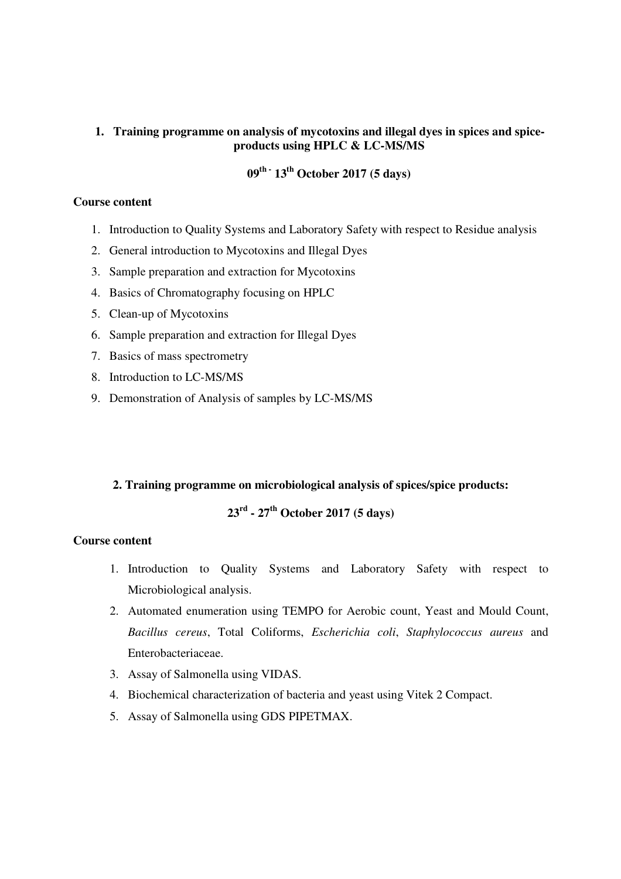## **1. Training programme on analysis of mycotoxins and illegal dyes in spices and spiceproducts using HPLC & LC-MS/MS**

# **09th - 13th October 2017 (5 days)**

#### **Course content**

- 1. Introduction to Quality Systems and Laboratory Safety with respect to Residue analysis
- 2. General introduction to Mycotoxins and Illegal Dyes
- 3. Sample preparation and extraction for Mycotoxins
- 4. Basics of Chromatography focusing on HPLC
- 5. Clean-up of Mycotoxins
- 6. Sample preparation and extraction for Illegal Dyes
- 7. Basics of mass spectrometry
- 8. Introduction to LC-MS/MS
- 9. Demonstration of Analysis of samples by LC-MS/MS

## **2. Training programme on microbiological analysis of spices/spice products:**

# **23rd - 27th October 2017 (5 days)**

#### **Course content**

- 1. Introduction to Quality Systems and Laboratory Safety with respect to Microbiological analysis.
- 2. Automated enumeration using TEMPO for Aerobic count, Yeast and Mould Count, *Bacillus cereus*, Total Coliforms, *Escherichia coli*, *Staphylococcus aureus* and Enterobacteriaceae.
- 3. Assay of Salmonella using VIDAS.
- 4. Biochemical characterization of bacteria and yeast using Vitek 2 Compact.
- 5. Assay of Salmonella using GDS PIPETMAX.